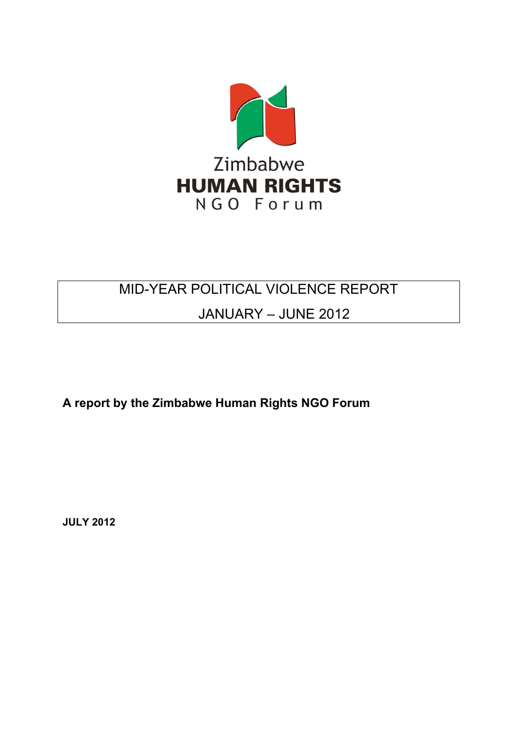

# MID-YEAR POLITICAL VIOLENCE REPORT

# JANUARY – JUNE 2012

**A report by the Zimbabwe Human Rights NGO Forum**

**JULY 2012**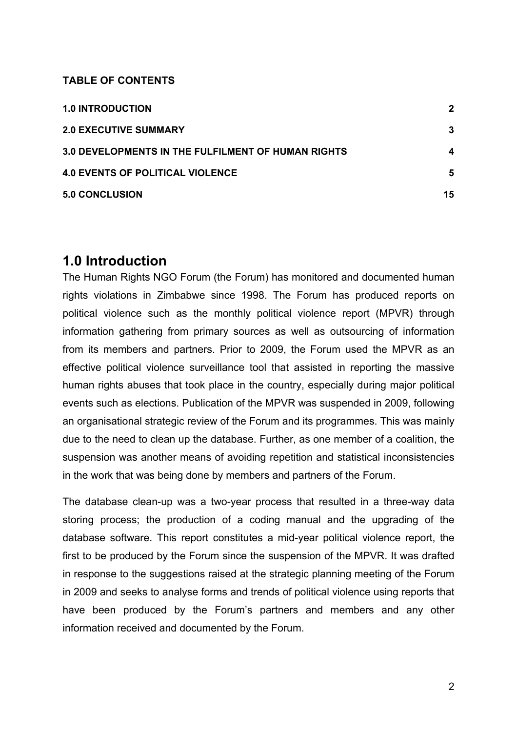#### **TABLE OF CONTENTS**

| <b>1.0 INTRODUCTION</b>                                   | 2  |
|-----------------------------------------------------------|----|
| <b>2.0 EXECUTIVE SUMMARY</b>                              | 3  |
| <b>3.0 DEVELOPMENTS IN THE FULFILMENT OF HUMAN RIGHTS</b> | 4  |
| <b>4.0 EVENTS OF POLITICAL VIOLENCE</b>                   | 5  |
| <b>5.0 CONCLUSION</b>                                     | 15 |

### **1.0 Introduction**

The Human Rights NGO Forum (the Forum) has monitored and documented human rights violations in Zimbabwe since 1998. The Forum has produced reports on political violence such as the monthly political violence report (MPVR) through information gathering from primary sources as well as outsourcing of information from its members and partners. Prior to 2009, the Forum used the MPVR as an effective political violence surveillance tool that assisted in reporting the massive human rights abuses that took place in the country, especially during major political events such as elections. Publication of the MPVR was suspended in 2009, following an organisational strategic review of the Forum and its programmes. This was mainly due to the need to clean up the database. Further, as one member of a coalition, the suspension was another means of avoiding repetition and statistical inconsistencies in the work that was being done by members and partners of the Forum.

The database clean-up was a two-year process that resulted in a three-way data storing process; the production of a coding manual and the upgrading of the database software. This report constitutes a mid-year political violence report, the first to be produced by the Forum since the suspension of the MPVR. It was drafted in response to the suggestions raised at the strategic planning meeting of the Forum in 2009 and seeks to analyse forms and trends of political violence using reports that have been produced by the Forum's partners and members and any other information received and documented by the Forum.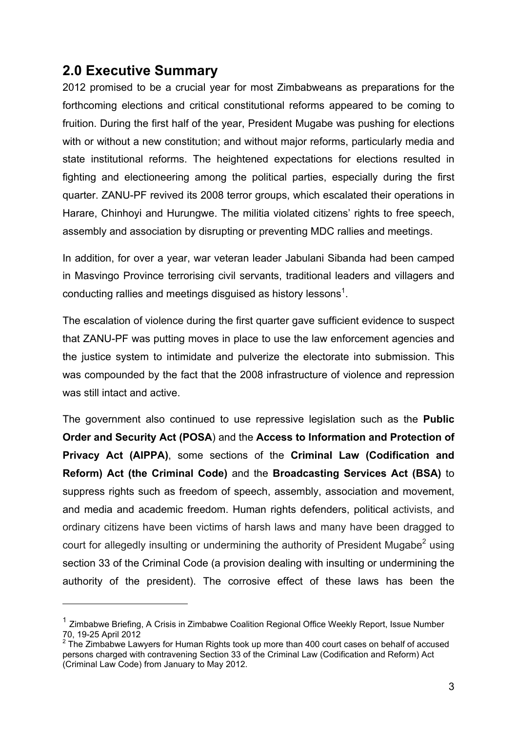## **2.0 Executive Summary**

2012 promised to be a crucial year for most Zimbabweans as preparations for the forthcoming elections and critical constitutional reforms appeared to be coming to fruition. During the first half of the year, President Mugabe was pushing for elections with or without a new constitution; and without major reforms, particularly media and state institutional reforms. The heightened expectations for elections resulted in fighting and electioneering among the political parties, especially during the first quarter. ZANU-PF revived its 2008 terror groups, which escalated their operations in Harare, Chinhoyi and Hurungwe. The militia violated citizens' rights to free speech, assembly and association by disrupting or preventing MDC rallies and meetings.

In addition, for over a year, war veteran leader Jabulani Sibanda had been camped in Masvingo Province terrorising civil servants, traditional leaders and villagers and conducting rallies and meetings disguised as history lessons<sup>1</sup>.

The escalation of violence during the first quarter gave sufficient evidence to suspect that ZANU-PF was putting moves in place to use the law enforcement agencies and the justice system to intimidate and pulverize the electorate into submission. This was compounded by the fact that the 2008 infrastructure of violence and repression was still intact and active.

The government also continued to use repressive legislation such as the **Public Order and Security Act (POSA**) and the **Access to Information and Protection of Privacy Act (AIPPA)**, some sections of the **Criminal Law (Codification and Reform) Act (the Criminal Code)** and the **Broadcasting Services Act (BSA)** to suppress rights such as freedom of speech, assembly, association and movement, and media and academic freedom. Human rights defenders, political activists, and ordinary citizens have been victims of harsh laws and many have been dragged to court for allegedly insulting or undermining the authority of President Mugabe<sup>2</sup> using section 33 of the Criminal Code (a provision dealing with insulting or undermining the authority of the president). The corrosive effect of these laws has been the

 $1$  Zimbabwe Briefing, A Crisis in Zimbabwe Coalition Regional Office Weekly Report, Issue Number 70, 19-25 April 2012 <sup>2</sup>

<sup>&</sup>lt;sup>2</sup> The Zimbabwe Lawyers for Human Rights took up more than 400 court cases on behalf of accused persons charged with contravening Section 33 of the Criminal Law (Codification and Reform) Act (Criminal Law Code) from January to May 2012.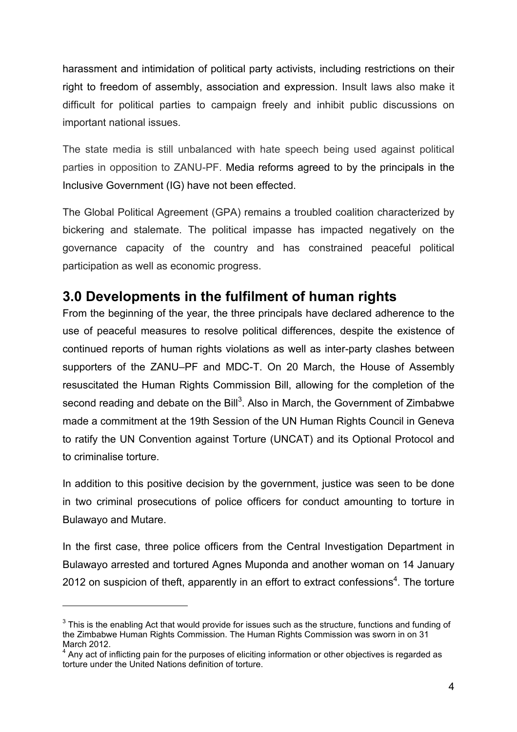harassment and intimidation of political party activists, including restrictions on their right to freedom of assembly, association and expression. Insult laws also make it difficult for political parties to campaign freely and inhibit public discussions on important national issues.

The state media is still unbalanced with hate speech being used against political parties in opposition to ZANU-PF. Media reforms agreed to by the principals in the Inclusive Government (IG) have not been effected.

The Global Political Agreement (GPA) remains a troubled coalition characterized by bickering and stalemate. The political impasse has impacted negatively on the governance capacity of the country and has constrained peaceful political participation as well as economic progress.

## **3.0 Developments in the fulfilment of human rights**

From the beginning of the year, the three principals have declared adherence to the use of peaceful measures to resolve political differences, despite the existence of continued reports of human rights violations as well as inter-party clashes between supporters of the ZANU–PF and MDC-T. On 20 March, the House of Assembly resuscitated the Human Rights Commission Bill, allowing for the completion of the second reading and debate on the Bill<sup>3</sup>. Also in March, the Government of Zimbabwe made a commitment at the 19th Session of the UN Human Rights Council in Geneva to ratify the UN Convention against Torture (UNCAT) and its Optional Protocol and to criminalise torture.

In addition to this positive decision by the government, justice was seen to be done in two criminal prosecutions of police officers for conduct amounting to torture in Bulawayo and Mutare.

In the first case, three police officers from the Central Investigation Department in Bulawayo arrested and tortured Agnes Muponda and another woman on 14 January 2012 on suspicion of theft, apparently in an effort to extract confessions<sup>4</sup>. The torture

 $3$  This is the enabling Act that would provide for issues such as the structure, functions and funding of the Zimbabwe Human Rights Commission. The Human Rights Commission was sworn in on 31 March 2012.

 $4$  Any act of inflicting pain for the purposes of eliciting information or other objectives is regarded as torture under the United Nations definition of torture.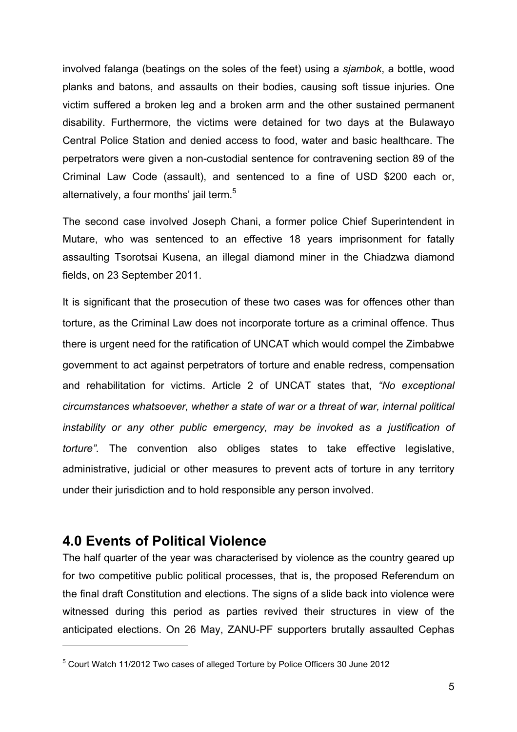involved falanga (beatings on the soles of the feet) using a *sjambok*, a bottle, wood planks and batons, and assaults on their bodies, causing soft tissue injuries. One victim suffered a broken leg and a broken arm and the other sustained permanent disability. Furthermore, the victims were detained for two days at the Bulawayo Central Police Station and denied access to food, water and basic healthcare. The perpetrators were given a non-custodial sentence for contravening section 89 of the Criminal Law Code (assault), and sentenced to a fine of USD \$200 each or, alternatively, a four months' jail term.<sup>5</sup>

The second case involved Joseph Chani, a former police Chief Superintendent in Mutare, who was sentenced to an effective 18 years imprisonment for fatally assaulting Tsorotsai Kusena, an illegal diamond miner in the Chiadzwa diamond fields, on 23 September 2011.

It is significant that the prosecution of these two cases was for offences other than torture, as the Criminal Law does not incorporate torture as a criminal offence. Thus there is urgent need for the ratification of UNCAT which would compel the Zimbabwe government to act against perpetrators of torture and enable redress, compensation and rehabilitation for victims. Article 2 of UNCAT states that, *"No exceptional circumstances whatsoever, whether a state of war or a threat of war, internal political instability or any other public emergency, may be invoked as a justification of torture".* The convention also obliges states to take effective legislative, administrative, judicial or other measures to prevent acts of torture in any territory under their jurisdiction and to hold responsible any person involved.

## **4.0 Events of Political Violence**

 $\overline{a}$ 

The half quarter of the year was characterised by violence as the country geared up for two competitive public political processes, that is, the proposed Referendum on the final draft Constitution and elections. The signs of a slide back into violence were witnessed during this period as parties revived their structures in view of the anticipated elections. On 26 May, ZANU-PF supporters brutally assaulted Cephas

<sup>&</sup>lt;sup>5</sup> Court Watch 11/2012 Two cases of alleged Torture by Police Officers 30 June 2012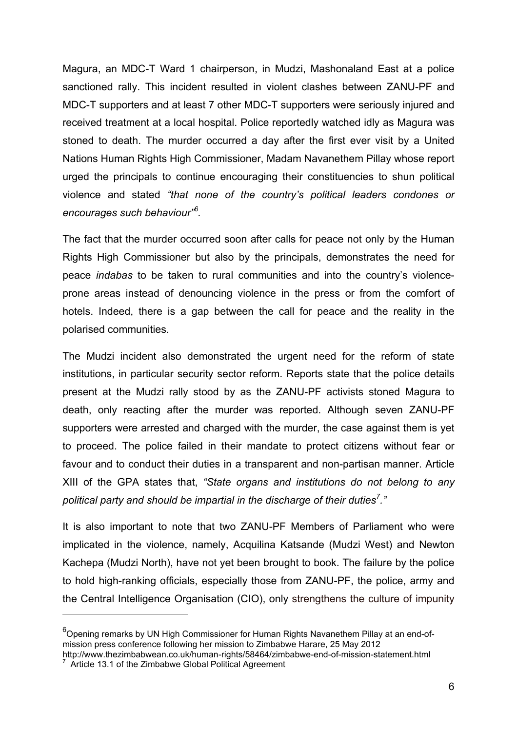Magura, an MDC-T Ward 1 chairperson, in Mudzi, Mashonaland East at a police sanctioned rally. This incident resulted in violent clashes between ZANU-PF and MDC-T supporters and at least 7 other MDC-T supporters were seriously injured and received treatment at a local hospital. Police reportedly watched idly as Magura was stoned to death. The murder occurred a day after the first ever visit by a United Nations Human Rights High Commissioner, Madam Navanethem Pillay whose report urged the principals to continue encouraging their constituencies to shun political violence and stated *"that none of the country's political leaders condones or encourages such behaviour"<sup>6</sup> .*

The fact that the murder occurred soon after calls for peace not only by the Human Rights High Commissioner but also by the principals, demonstrates the need for peace *indabas* to be taken to rural communities and into the country's violenceprone areas instead of denouncing violence in the press or from the comfort of hotels. Indeed, there is a gap between the call for peace and the reality in the polarised communities.

The Mudzi incident also demonstrated the urgent need for the reform of state institutions, in particular security sector reform. Reports state that the police details present at the Mudzi rally stood by as the ZANU-PF activists stoned Magura to death, only reacting after the murder was reported. Although seven ZANU-PF supporters were arrested and charged with the murder, the case against them is yet to proceed. The police failed in their mandate to protect citizens without fear or favour and to conduct their duties in a transparent and non-partisan manner. Article XIII of the GPA states that, *"State organs and institutions do not belong to any political party and should be impartial in the discharge of their duties<sup>7</sup> ."*

It is also important to note that two ZANU-PF Members of Parliament who were implicated in the violence, namely, Acquilina Katsande (Mudzi West) and Newton Kachepa (Mudzi North), have not yet been brought to book. The failure by the police to hold high-ranking officials, especially those from ZANU-PF, the police, army and the Central Intelligence Organisation (CIO), only strengthens the culture of impunity

<sup>&</sup>lt;sup>6</sup>Opening remarks by UN High Commissioner for Human Rights Navanethem Pillay at an end-ofmission press conference following her mission to Zimbabwe Harare, 25 May 2012

http://www.thezimbabwean.co.uk/human-rights/58464/zimbabwe-end-of-mission-statement.html  $7$  Article 13.1 of the Zimbabwe Global Political Agreement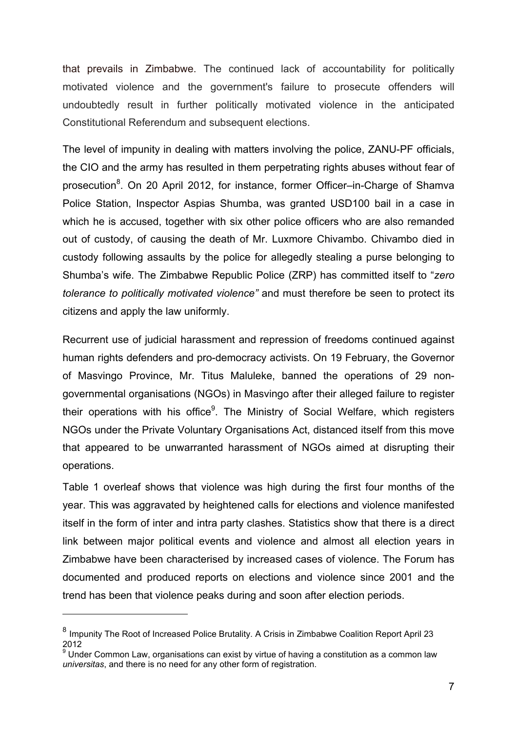that prevails in Zimbabwe. The continued lack of accountability for politically motivated violence and the government's failure to prosecute offenders will undoubtedly result in further politically motivated violence in the anticipated Constitutional Referendum and subsequent elections.

The level of impunity in dealing with matters involving the police, ZANU-PF officials, the CIO and the army has resulted in them perpetrating rights abuses without fear of prosecution<sup>8</sup>. On 20 April 2012, for instance, former Officer–in-Charge of Shamva Police Station, Inspector Aspias Shumba, was granted USD100 bail in a case in which he is accused, together with six other police officers who are also remanded out of custody, of causing the death of Mr. Luxmore Chivambo. Chivambo died in custody following assaults by the police for allegedly stealing a purse belonging to Shumba's wife. The Zimbabwe Republic Police (ZRP) has committed itself to "*zero tolerance to politically motivated violence"* and must therefore be seen to protect its citizens and apply the law uniformly.

Recurrent use of judicial harassment and repression of freedoms continued against human rights defenders and pro-democracy activists. On 19 February, the Governor of Masvingo Province, Mr. Titus Maluleke, banned the operations of 29 nongovernmental organisations (NGOs) in Masvingo after their alleged failure to register their operations with his office<sup>9</sup>. The Ministry of Social Welfare, which registers NGOs under the Private Voluntary Organisations Act, distanced itself from this move that appeared to be unwarranted harassment of NGOs aimed at disrupting their operations.

Table 1 overleaf shows that violence was high during the first four months of the year. This was aggravated by heightened calls for elections and violence manifested itself in the form of inter and intra party clashes. Statistics show that there is a direct link between major political events and violence and almost all election years in Zimbabwe have been characterised by increased cases of violence. The Forum has documented and produced reports on elections and violence since 2001 and the trend has been that violence peaks during and soon after election periods.

<sup>&</sup>lt;sup>8</sup> Impunity The Root of Increased Police Brutality. A Crisis in Zimbabwe Coalition Report April 23 2012

 $9$  Under Common Law, organisations can exist by virtue of having a constitution as a common law *universitas*, and there is no need for any other form of registration.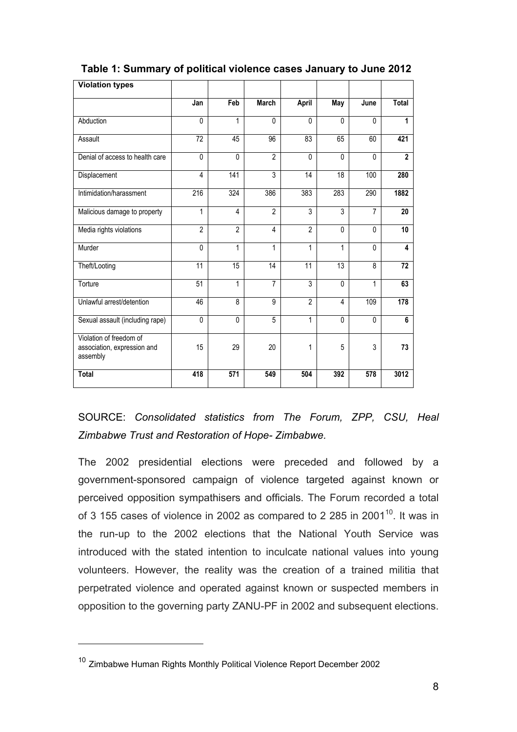| <b>Violation types</b>                                             |                 |                |                |                |              |                |                |
|--------------------------------------------------------------------|-----------------|----------------|----------------|----------------|--------------|----------------|----------------|
|                                                                    | Jan             | Feb            | <b>March</b>   | April          | May          | June           | <b>Total</b>   |
| Abduction                                                          | 0               | 1              | $\mathbf{0}$   | $\mathbf{0}$   | 0            | 0              | 1              |
| Assault                                                            | 72              | 45             | 96             | 83             | 65           | 60             | 421            |
| Denial of access to health care                                    | $\mathbf 0$     | 0              | $\overline{2}$ | $\mathbf 0$    | $\Omega$     | 0              | $\overline{2}$ |
| Displacement                                                       | 4               | 141            | $\overline{3}$ | 14             | 18           | 100            | 280            |
| Intimidation/harassment                                            | 216             | 324            | 386            | 383            | 283          | 290            | 1882           |
| Malicious damage to property                                       | $\mathbf{1}$    | $\overline{4}$ | $\overline{2}$ | 3              | 3            | $\overline{7}$ | 20             |
| Media rights violations                                            | $\overline{2}$  | $\overline{2}$ | 4              | $\overline{2}$ | $\mathbf{0}$ | $\mathbf{0}$   | 10             |
| Murder                                                             | $\Omega$        | 1              | 1              | 1              | 1            | 0              | 4              |
| Theft/Looting                                                      | 11              | 15             | 14             | 11             | 13           | 8              | 72             |
| Torture                                                            | $\overline{51}$ | 1              | $\overline{7}$ | $\overline{3}$ | $\mathbf{0}$ | 1              | 63             |
| Unlawful arrest/detention                                          | 46              | 8              | 9              | $\overline{2}$ | 4            | 109            | 178            |
| Sexual assault (including rape)                                    | $\mathbf{0}$    | 0              | 5              | 1              | $\mathbf{0}$ | 0              | 6              |
| Violation of freedom of<br>association, expression and<br>assembly | 15              | 29             | 20             | 1              | 5            | 3              | 73             |
| <b>Total</b>                                                       | 418             | 571            | 549            | 504            | 392          | 578            | 3012           |

 **Table 1: Summary of political violence cases January to June 2012**

SOURCE: *Consolidated statistics from The Forum, ZPP, CSU, Heal Zimbabwe Trust and Restoration of Hope- Zimbabwe.*

The 2002 presidential elections were preceded and followed by a government-sponsored campaign of violence targeted against known or perceived opposition sympathisers and officials. The Forum recorded a total of 3 155 cases of violence in 2002 as compared to 2 285 in 2001<sup>10</sup>. It was in the run-up to the 2002 elections that the National Youth Service was introduced with the stated intention to inculcate national values into young volunteers. However, the reality was the creation of a trained militia that perpetrated violence and operated against known or suspected members in opposition to the governing party ZANU-PF in 2002 and subsequent elections.

<sup>&</sup>lt;sup>10</sup> Zimbabwe Human Rights Monthly Political Violence Report December 2002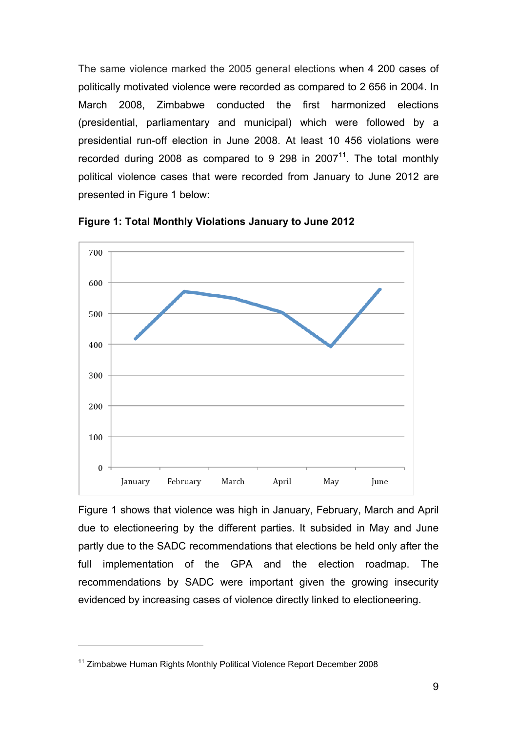The same violence marked the 2005 general elections when 4 200 cases of politically motivated violence were recorded as compared to 2 656 in 2004. In March 2008, Zimbabwe conducted the first harmonized elections (presidential, parliamentary and municipal) which were followed by a presidential run-off election in June 2008. At least 10 456 violations were recorded during 2008 as compared to 9 298 in  $2007<sup>11</sup>$ . The total monthly political violence cases that were recorded from January to June 2012 are presented in Figure 1 below:





Figure 1 shows that violence was high in January, February, March and April due to electioneering by the different parties. It subsided in May and June partly due to the SADC recommendations that elections be held only after the full implementation of the GPA and the election roadmap. The recommendations by SADC were important given the growing insecurity evidenced by increasing cases of violence directly linked to electioneering.

<sup>&</sup>lt;sup>11</sup> Zimbabwe Human Rights Monthly Political Violence Report December 2008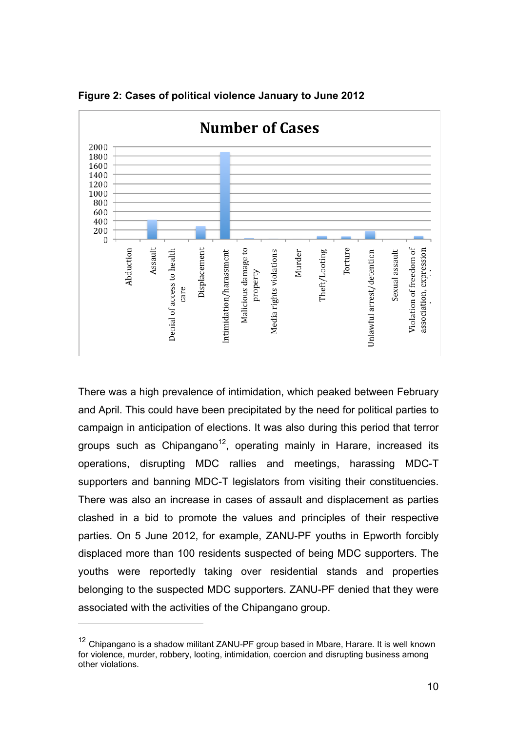

**Figure 2: Cases of political violence January to June 2012**

There was a high prevalence of intimidation, which peaked between February and April. This could have been precipitated by the need for political parties to campaign in anticipation of elections. It was also during this period that terror groups such as Chipangano<sup>12</sup>, operating mainly in Harare, increased its operations, disrupting MDC rallies and meetings, harassing MDC-T supporters and banning MDC-T legislators from visiting their constituencies. There was also an increase in cases of assault and displacement as parties clashed in a bid to promote the values and principles of their respective parties. On 5 June 2012, for example, ZANU-PF youths in Epworth forcibly displaced more than 100 residents suspected of being MDC supporters. The youths were reportedly taking over residential stands and properties belonging to the suspected MDC supporters. ZANU-PF denied that they were associated with the activities of the Chipangano group.

<sup>&</sup>lt;sup>12</sup> Chipangano is a shadow militant ZANU-PF group based in Mbare, Harare. It is well known for violence, murder, robbery, looting, intimidation, coercion and disrupting business among other violations.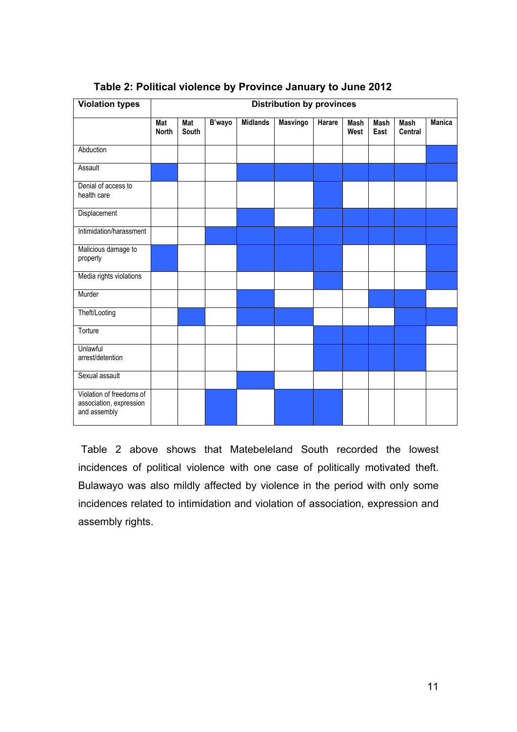| <b>Violation types</b>                                              | <b>Distribution by provinces</b> |              |        |                 |          |        |              |                     |                 |               |
|---------------------------------------------------------------------|----------------------------------|--------------|--------|-----------------|----------|--------|--------------|---------------------|-----------------|---------------|
|                                                                     | Mat<br><b>North</b>              | Mat<br>South | B'wayo | <b>Midlands</b> | Masvingo | Harare | Mash<br>West | <b>Mash</b><br>East | Mash<br>Central | <b>Manica</b> |
| Abduction                                                           |                                  |              |        |                 |          |        |              |                     |                 |               |
| Assault                                                             |                                  |              |        |                 |          |        |              |                     |                 |               |
| Denial of access to<br>health care                                  |                                  |              |        |                 |          |        |              |                     |                 |               |
| Displacement                                                        |                                  |              |        |                 |          |        |              |                     |                 |               |
| Intimidation/harassment                                             |                                  |              |        |                 |          |        |              |                     |                 |               |
| Malicious damage to<br>property                                     |                                  |              |        |                 |          |        |              |                     |                 |               |
| Media rights violations                                             |                                  |              |        |                 |          |        |              |                     |                 |               |
| Murder                                                              |                                  |              |        |                 |          |        |              |                     |                 |               |
| Theft/Looting                                                       |                                  |              |        |                 |          |        |              |                     |                 |               |
| Torture                                                             |                                  |              |        |                 |          |        |              |                     |                 |               |
| Unlawful<br>arrest/detention                                        |                                  |              |        |                 |          |        |              |                     |                 |               |
| Sexual assault                                                      |                                  |              |        |                 |          |        |              |                     |                 |               |
| Violation of freedoms of<br>association, expression<br>and assembly |                                  |              |        |                 |          |        |              |                     |                 |               |

### **Table 2: Political violence by Province January to June 2012**

 Table 2 above shows that Matebeleland South recorded the lowest incidences of political violence with one case of politically motivated theft. Bulawayo was also mildly affected by violence in the period with only some incidences related to intimidation and violation of association, expression and assembly rights.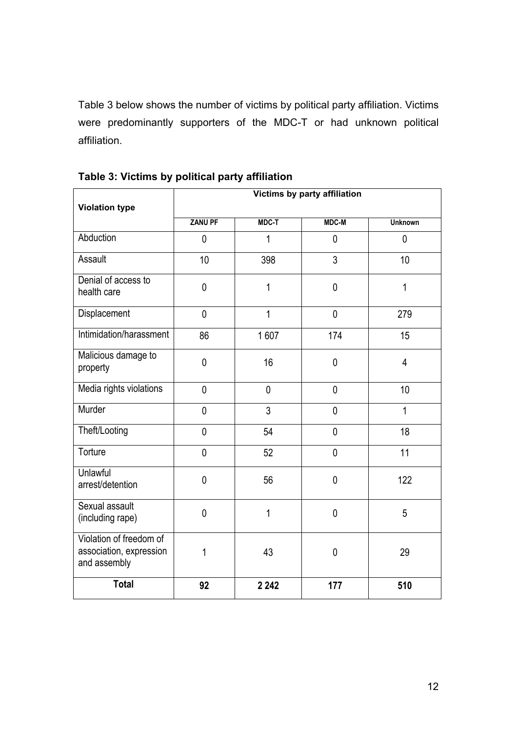Table 3 below shows the number of victims by political party affiliation. Victims were predominantly supporters of the MDC-T or had unknown political affiliation.

|                                                                    | Victims by party affiliation |                |                |                |  |  |  |  |
|--------------------------------------------------------------------|------------------------------|----------------|----------------|----------------|--|--|--|--|
| <b>Violation type</b>                                              |                              |                |                |                |  |  |  |  |
|                                                                    | <b>ZANU PF</b>               | <b>MDC-T</b>   | <b>MDC-M</b>   | <b>Unknown</b> |  |  |  |  |
| Abduction                                                          | $\mathbf 0$                  | 1              | $\mathbf 0$    | $\mathbf 0$    |  |  |  |  |
| Assault                                                            | 10                           | 398            | 3              | 10             |  |  |  |  |
| Denial of access to<br>health care                                 | $\mathbf 0$                  | 1              | $\mathbf 0$    | $\mathbf{1}$   |  |  |  |  |
| Displacement                                                       | $\overline{0}$               | $\overline{1}$ | $\mathbf 0$    | 279            |  |  |  |  |
| Intimidation/harassment                                            | 86                           | 1607           | 174            | 15             |  |  |  |  |
| Malicious damage to<br>property                                    | $\mathbf 0$                  | 16             | $\mathbf 0$    | $\overline{4}$ |  |  |  |  |
| Media rights violations                                            | $\overline{0}$               | $\mathbf 0$    | $\overline{0}$ | 10             |  |  |  |  |
| Murder                                                             | $\mathbf 0$                  | 3              | $\mathbf 0$    | 1              |  |  |  |  |
| Theft/Looting                                                      | $\mathbf 0$                  | 54             | $\mathbf 0$    | 18             |  |  |  |  |
| Torture                                                            | $\mathbf 0$                  | 52             | $\mathbf 0$    | 11             |  |  |  |  |
| Unlawful<br>arrest/detention                                       | $\mathbf 0$                  | 56             | $\mathbf 0$    | 122            |  |  |  |  |
| Sexual assault<br>(including rape)                                 | $\mathbf 0$                  | $\mathbf{1}$   | $\mathbf 0$    | 5              |  |  |  |  |
| Violation of freedom of<br>association, expression<br>and assembly | 1                            | 43             | $\mathbf 0$    | 29             |  |  |  |  |
| <b>Total</b>                                                       | 92                           | 2 2 4 2        | 177            | 510            |  |  |  |  |

**Table 3: Victims by political party affiliation**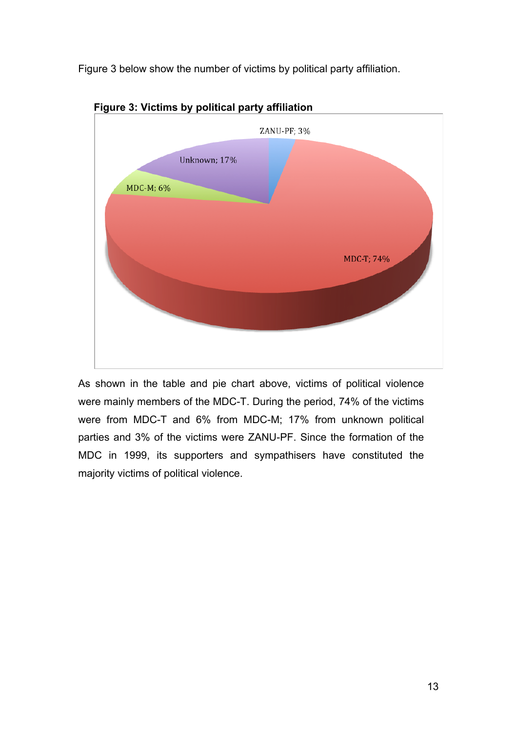Figure 3 below show the number of victims by political party affiliation.



**Figure 3: Victims by political party affiliation**

As shown in the table and pie chart above, victims of political violence were mainly members of the MDC-T. During the period, 74% of the victims were from MDC-T and 6% from MDC-M; 17% from unknown political parties and 3% of the victims were ZANU-PF. Since the formation of the MDC in 1999, its supporters and sympathisers have constituted the majority victims of political violence.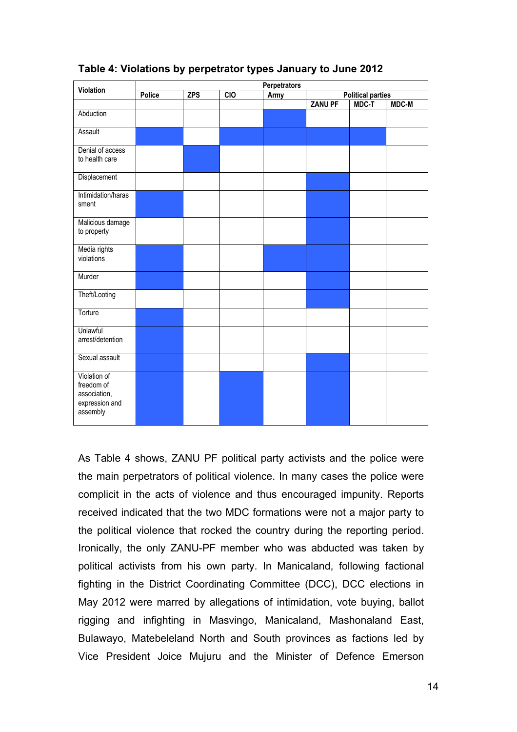| Violation                                                                | Perpetrators |            |                  |      |                          |       |              |  |
|--------------------------------------------------------------------------|--------------|------------|------------------|------|--------------------------|-------|--------------|--|
|                                                                          | Police       | <b>ZPS</b> | $\overline{CIO}$ | Army | <b>Political parties</b> |       |              |  |
|                                                                          |              |            |                  |      | <b>ZANU PF</b>           | MDC-T | <b>MDC-M</b> |  |
| Abduction                                                                |              |            |                  |      |                          |       |              |  |
| Assault                                                                  |              |            |                  |      |                          |       |              |  |
| Denial of access<br>to health care                                       |              |            |                  |      |                          |       |              |  |
| Displacement                                                             |              |            |                  |      |                          |       |              |  |
| Intimidation/haras<br>sment                                              |              |            |                  |      |                          |       |              |  |
| Malicious damage<br>to property                                          |              |            |                  |      |                          |       |              |  |
| Media rights<br>violations                                               |              |            |                  |      |                          |       |              |  |
| Murder                                                                   |              |            |                  |      |                          |       |              |  |
| Theft/Looting                                                            |              |            |                  |      |                          |       |              |  |
| Torture                                                                  |              |            |                  |      |                          |       |              |  |
| Unlawful<br>arrest/detention                                             |              |            |                  |      |                          |       |              |  |
| Sexual assault                                                           |              |            |                  |      |                          |       |              |  |
| Violation of<br>freedom of<br>association,<br>expression and<br>assembly |              |            |                  |      |                          |       |              |  |

#### **Table 4: Violations by perpetrator types January to June 2012**

As Table 4 shows, ZANU PF political party activists and the police were the main perpetrators of political violence. In many cases the police were complicit in the acts of violence and thus encouraged impunity. Reports received indicated that the two MDC formations were not a major party to the political violence that rocked the country during the reporting period. Ironically, the only ZANU-PF member who was abducted was taken by political activists from his own party. In Manicaland, following factional fighting in the District Coordinating Committee (DCC), DCC elections in May 2012 were marred by allegations of intimidation, vote buying, ballot rigging and infighting in Masvingo, Manicaland, Mashonaland East, Bulawayo, Matebeleland North and South provinces as factions led by Vice President Joice Mujuru and the Minister of Defence Emerson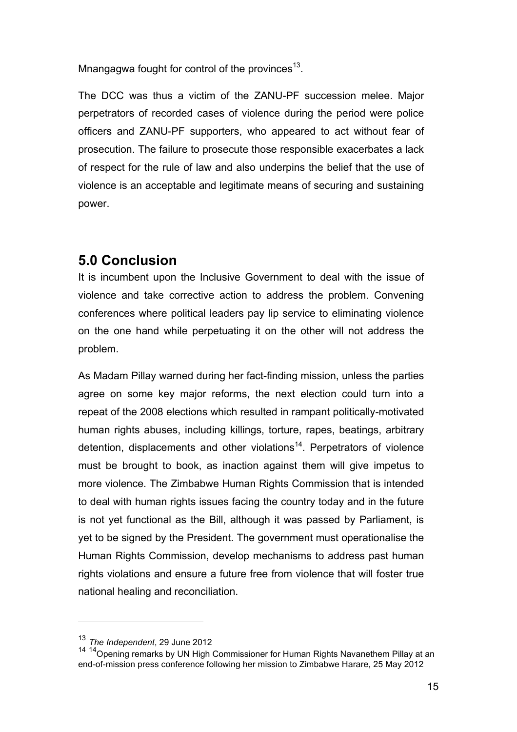Mnangagwa fought for control of the provinces $^{13}$ .

The DCC was thus a victim of the ZANU-PF succession melee. Major perpetrators of recorded cases of violence during the period were police officers and ZANU-PF supporters, who appeared to act without fear of prosecution. The failure to prosecute those responsible exacerbates a lack of respect for the rule of law and also underpins the belief that the use of violence is an acceptable and legitimate means of securing and sustaining power.

## **5.0 Conclusion**

It is incumbent upon the Inclusive Government to deal with the issue of violence and take corrective action to address the problem. Convening conferences where political leaders pay lip service to eliminating violence on the one hand while perpetuating it on the other will not address the problem.

As Madam Pillay warned during her fact-finding mission, unless the parties agree on some key major reforms, the next election could turn into a repeat of the 2008 elections which resulted in rampant politically-motivated human rights abuses, including killings, torture, rapes, beatings, arbitrary detention, displacements and other violations<sup>14</sup>. Perpetrators of violence must be brought to book, as inaction against them will give impetus to more violence. The Zimbabwe Human Rights Commission that is intended to deal with human rights issues facing the country today and in the future is not yet functional as the Bill, although it was passed by Parliament, is yet to be signed by the President. The government must operationalise the Human Rights Commission, develop mechanisms to address past human rights violations and ensure a future free from violence that will foster true national healing and reconciliation.

<sup>13</sup> *The Independent*, 29 June 2012

<sup>&</sup>lt;sup>14 14</sup> Opening remarks by UN High Commissioner for Human Rights Navanethem Pillay at an end-of-mission press conference following her mission to Zimbabwe Harare, 25 May 2012